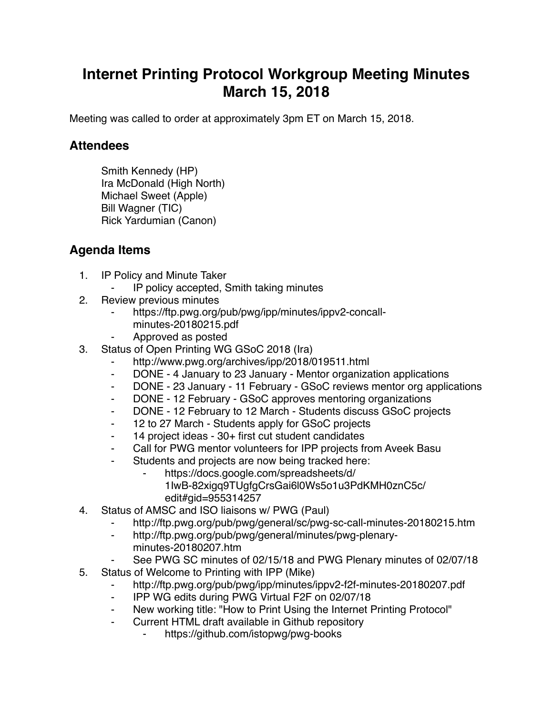## **Internet Printing Protocol Workgroup Meeting Minutes March 15, 2018**

Meeting was called to order at approximately 3pm ET on March 15, 2018.

## **Attendees**

Smith Kennedy (HP) Ira McDonald (High North) Michael Sweet (Apple) Bill Wagner (TIC) Rick Yardumian (Canon)

## **Agenda Items**

- 1. IP Policy and Minute Taker
	- ⁃ IP policy accepted, Smith taking minutes
- 2. Review previous minutes
	- https://ftp.pwg.org/pub/pwg/ipp/minutes/ippv2-concallminutes-20180215.pdf
	- ⁃ Approved as posted
- 3. Status of Open Printing WG GSoC 2018 (Ira)
	- http://www.pwg.org/archives/ipp/2018/019511.html
	- ⁃ DONE 4 January to 23 January Mentor organization applications
	- ⁃ DONE 23 January 11 February GSoC reviews mentor org applications
	- ⁃ DONE 12 February GSoC approves mentoring organizations
	- ⁃ DONE 12 February to 12 March Students discuss GSoC projects
	- ⁃ 12 to 27 March Students apply for GSoC projects
	- ⁃ 14 project ideas 30+ first cut student candidates
	- Call for PWG mentor volunteers for IPP projects from Aveek Basu
		- Students and projects are now being tracked here:
			- https://docs.google.com/spreadsheets/d/
				- 1IwB-82xigq9TUgfgCrsGai6l0Ws5o1u3PdKMH0znC5c/ edit#gid=955314257
- 4. Status of AMSC and ISO liaisons w/ PWG (Paul)
	- ⁃ http://ftp.pwg.org/pub/pwg/general/sc/pwg-sc-call-minutes-20180215.htm
	- ⁃ http://ftp.pwg.org/pub/pwg/general/minutes/pwg-plenaryminutes-20180207.htm
	- See PWG SC minutes of 02/15/18 and PWG Plenary minutes of 02/07/18
- 5. Status of Welcome to Printing with IPP (Mike)
	- http://ftp.pwg.org/pub/pwg/ipp/minutes/ippv2-f2f-minutes-20180207.pdf
	- ⁃ IPP WG edits during PWG Virtual F2F on 02/07/18
	- New working title: "How to Print Using the Internet Printing Protocol"
	- ⁃ Current HTML draft available in Github repository
		- ⁃ https://github.com/istopwg/pwg-books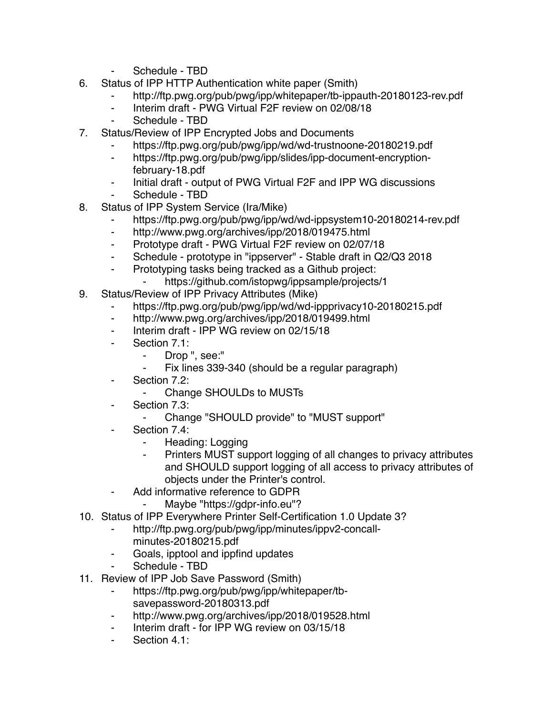- Schedule TBD
- 6. Status of IPP HTTP Authentication white paper (Smith)
	- http://ftp.pwg.org/pub/pwg/ipp/whitepaper/tb-ippauth-20180123-rev.pdf
	- ⁃ Interim draft PWG Virtual F2F review on 02/08/18
	- Schedule TBD
- 7. Status/Review of IPP Encrypted Jobs and Documents
	- https://ftp.pwg.org/pub/pwg/ipp/wd/wd-trustnoone-20180219.pdf
	- ⁃ https://ftp.pwg.org/pub/pwg/ipp/slides/ipp-document-encryptionfebruary-18.pdf
	- ⁃ Initial draft output of PWG Virtual F2F and IPP WG discussions
	- Schedule TBD
- 8. Status of IPP System Service (Ira/Mike)
	- https://ftp.pwg.org/pub/pwg/ipp/wd/wd-ippsystem10-20180214-rev.pdf
	- ⁃ http://www.pwg.org/archives/ipp/2018/019475.html
	- ⁃ Prototype draft PWG Virtual F2F review on 02/07/18
	- Schedule prototype in "ippserver" Stable draft in Q2/Q3 2018
	- ⁃ Prototyping tasks being tracked as a Github project:
	- https://github.com/istopwg/ippsample/projects/1
- 9. Status/Review of IPP Privacy Attributes (Mike)
	- https://ftp.pwg.org/pub/pwg/ipp/wd/wd-ippprivacy10-20180215.pdf
	- ⁃ http://www.pwg.org/archives/ipp/2018/019499.html
	- ⁃ Interim draft IPP WG review on 02/15/18
	- Section 7.1:
		- ⁃ Drop ", see:"
		- Fix lines 339-340 (should be a regular paragraph)
	- ⁃ Section 7.2:
		- ⁃ Change SHOULDs to MUSTs
	- Section 7.3:
		- ⁃ Change "SHOULD provide" to "MUST support"
	- Section 7.4:
		- Heading: Logging
		- ⁃ Printers MUST support logging of all changes to privacy attributes and SHOULD support logging of all access to privacy attributes of objects under the Printer's control.
	- Add informative reference to GDPR
		- Maybe "https://gdpr-info.eu"?
- 10. Status of IPP Everywhere Printer Self-Certification 1.0 Update 3?
	- http://ftp.pwg.org/pub/pwg/ipp/minutes/ippv2-concallminutes-20180215.pdf
	- ⁃ Goals, ipptool and ippfind updates
	- Schedule TBD
- 11. Review of IPP Job Save Password (Smith)
	- https://ftp.pwg.org/pub/pwg/ipp/whitepaper/tbsavepassword-20180313.pdf
	- ⁃ http://www.pwg.org/archives/ipp/2018/019528.html
	- Interim draft for IPP WG review on 03/15/18
	- Section 4.1: